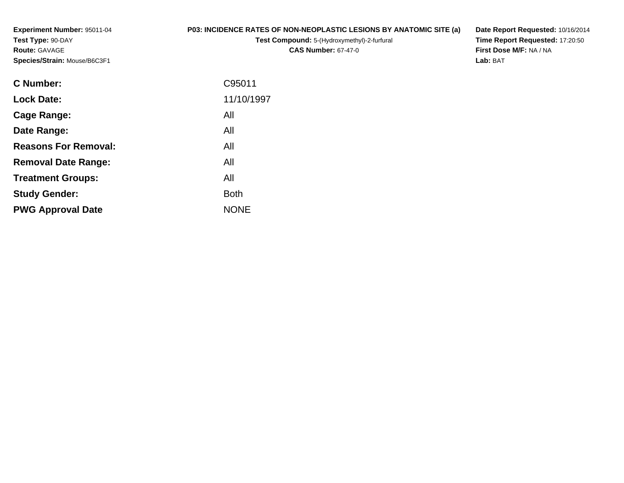**Experiment Number:** 95011-04**Test Type:** 90-DAY**Route:** GAVAGE**Species/Strain:** Mouse/B6C3F1

## **P03: INCIDENCE RATES OF NON-NEOPLASTIC LESIONS BY ANATOMIC SITE (a)**

**Test Compound:** 5-(Hydroxymethyl)-2-furfural **CAS Number:** 67-47-0

**Date Report Requested:** 10/16/2014 **Time Report Requested:** 17:20:50**First Dose M/F:** NA / NA**Lab:** BAT

| <b>Lock Date:</b><br>All<br>Cage Range:<br>All<br>Date Range:<br><b>Reasons For Removal:</b><br>All<br>All<br><b>Removal Date Range:</b><br>All<br><b>Treatment Groups:</b><br><b>Study Gender:</b><br><b>Both</b><br><b>NONE</b><br><b>PWG Approval Date</b> | <b>C</b> Number: | C95011     |
|---------------------------------------------------------------------------------------------------------------------------------------------------------------------------------------------------------------------------------------------------------------|------------------|------------|
|                                                                                                                                                                                                                                                               |                  | 11/10/1997 |
|                                                                                                                                                                                                                                                               |                  |            |
|                                                                                                                                                                                                                                                               |                  |            |
|                                                                                                                                                                                                                                                               |                  |            |
|                                                                                                                                                                                                                                                               |                  |            |
|                                                                                                                                                                                                                                                               |                  |            |
|                                                                                                                                                                                                                                                               |                  |            |
|                                                                                                                                                                                                                                                               |                  |            |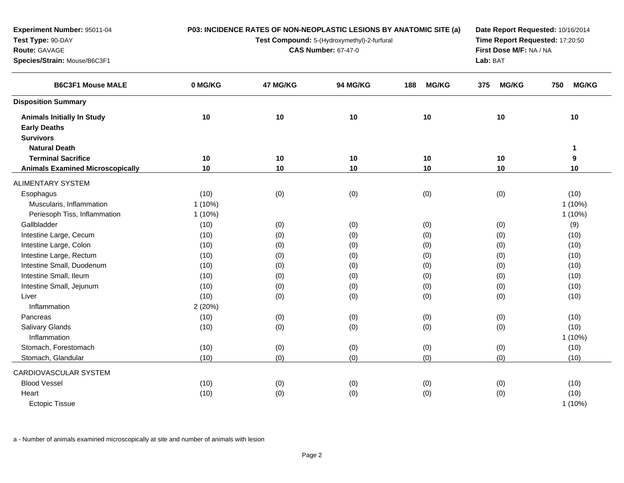| Experiment Number: 95011-04             |           |                                                                                                                                         |          | P03: INCIDENCE RATES OF NON-NEOPLASTIC LESIONS BY ANATOMIC SITE (a) | Date Report Requested: 10/16/2014 |                     |  |
|-----------------------------------------|-----------|-----------------------------------------------------------------------------------------------------------------------------------------|----------|---------------------------------------------------------------------|-----------------------------------|---------------------|--|
| Test Type: 90-DAY                       |           | Time Report Requested: 17:20:50<br>Test Compound: 5-(Hydroxymethyl)-2-furfural<br><b>CAS Number: 67-47-0</b><br>First Dose M/F: NA / NA |          |                                                                     |                                   |                     |  |
| Route: GAVAGE                           |           |                                                                                                                                         |          |                                                                     |                                   |                     |  |
| Species/Strain: Mouse/B6C3F1            |           |                                                                                                                                         |          | Lab: BAT                                                            |                                   |                     |  |
| <b>B6C3F1 Mouse MALE</b>                | 0 MG/KG   | 47 MG/KG                                                                                                                                | 94 MG/KG | <b>MG/KG</b><br>188                                                 | <b>MG/KG</b><br>375               | 750<br><b>MG/KG</b> |  |
| <b>Disposition Summary</b>              |           |                                                                                                                                         |          |                                                                     |                                   |                     |  |
| <b>Animals Initially In Study</b>       | 10        | 10                                                                                                                                      | 10       | 10                                                                  | 10                                | 10                  |  |
| <b>Early Deaths</b>                     |           |                                                                                                                                         |          |                                                                     |                                   |                     |  |
| <b>Survivors</b>                        |           |                                                                                                                                         |          |                                                                     |                                   |                     |  |
| <b>Natural Death</b>                    |           |                                                                                                                                         |          |                                                                     |                                   | 1                   |  |
| <b>Terminal Sacrifice</b>               | 10        | 10                                                                                                                                      | 10       | 10                                                                  | 10                                | 9                   |  |
| <b>Animals Examined Microscopically</b> | 10        | 10                                                                                                                                      | 10       | 10                                                                  | 10                                | 10                  |  |
| <b>ALIMENTARY SYSTEM</b>                |           |                                                                                                                                         |          |                                                                     |                                   |                     |  |
| Esophagus                               | (10)      | (0)                                                                                                                                     | (0)      | (0)                                                                 | (0)                               | (10)                |  |
| Muscularis, Inflammation                | $1(10\%)$ |                                                                                                                                         |          |                                                                     |                                   | $1(10\%)$           |  |
| Periesoph Tiss, Inflammation            | $1(10\%)$ |                                                                                                                                         |          |                                                                     |                                   | $1(10\%)$           |  |
| Gallbladder                             | (10)      | (0)                                                                                                                                     | (0)      | (0)                                                                 | (0)                               | (9)                 |  |
| Intestine Large, Cecum                  | (10)      | (0)                                                                                                                                     | (0)      | (0)                                                                 | (0)                               | (10)                |  |
| Intestine Large, Colon                  | (10)      | (0)                                                                                                                                     | (0)      | (0)                                                                 | (0)                               | (10)                |  |
| Intestine Large, Rectum                 | (10)      | (0)                                                                                                                                     | (0)      | (0)                                                                 | (0)                               | (10)                |  |
| Intestine Small, Duodenum               | (10)      | (0)                                                                                                                                     | (0)      | (0)                                                                 | (0)                               | (10)                |  |
| Intestine Small, Ileum                  | (10)      | (0)                                                                                                                                     | (0)      | (0)                                                                 | (0)                               | (10)                |  |
| Intestine Small, Jejunum                | (10)      | (0)                                                                                                                                     | (0)      | (0)                                                                 | (0)                               | (10)                |  |
| Liver                                   | (10)      | (0)                                                                                                                                     | (0)      | (0)                                                                 | (0)                               | (10)                |  |
| Inflammation                            | 2(20%)    |                                                                                                                                         |          |                                                                     |                                   |                     |  |
| Pancreas                                | (10)      | (0)                                                                                                                                     | (0)      | (0)                                                                 | (0)                               | (10)                |  |
| <b>Salivary Glands</b>                  | (10)      | (0)                                                                                                                                     | (0)      | (0)                                                                 | (0)                               | (10)                |  |
| Inflammation                            |           |                                                                                                                                         |          |                                                                     |                                   | 1 (10%)             |  |
| Stomach, Forestomach                    | (10)      | (0)                                                                                                                                     | (0)      | (0)                                                                 | (0)                               | (10)                |  |
| Stomach, Glandular                      | (10)      | (0)                                                                                                                                     | (0)      | (0)                                                                 | (0)                               | (10)                |  |
| CARDIOVASCULAR SYSTEM                   |           |                                                                                                                                         |          |                                                                     |                                   |                     |  |
| <b>Blood Vessel</b>                     | (10)      | (0)                                                                                                                                     | (0)      | (0)                                                                 | (0)                               | (10)                |  |
| Heart                                   | (10)      | (0)                                                                                                                                     | (0)      | (0)                                                                 | (0)                               | (10)                |  |
| <b>Ectopic Tissue</b>                   |           |                                                                                                                                         |          |                                                                     |                                   | 1 (10%)             |  |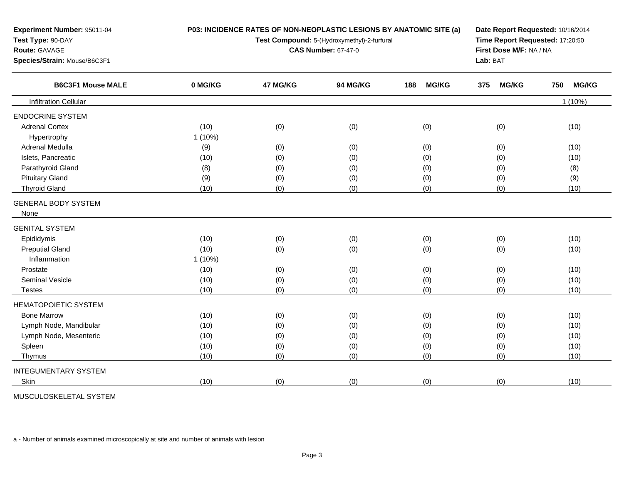| Test Type: 90-DAY<br>Test Compound: 5-(Hydroxymethyl)-2-furfural<br>Route: GAVAGE<br><b>CAS Number: 67-47-0</b><br>Lab: BAT<br>Species/Strain: Mouse/B6C3F1<br><b>B6C3F1 Mouse MALE</b><br>0 MG/KG<br>47 MG/KG<br>94 MG/KG<br><b>MG/KG</b><br>188<br>375 | Time Report Requested: 17:20:50<br>First Dose M/F: NA / NA<br><b>MG/KG</b><br>750 | <b>MG/KG</b><br>$1(10\%)$ |
|----------------------------------------------------------------------------------------------------------------------------------------------------------------------------------------------------------------------------------------------------------|-----------------------------------------------------------------------------------|---------------------------|
|                                                                                                                                                                                                                                                          |                                                                                   |                           |
|                                                                                                                                                                                                                                                          |                                                                                   |                           |
|                                                                                                                                                                                                                                                          |                                                                                   |                           |
|                                                                                                                                                                                                                                                          |                                                                                   |                           |
| <b>Infiltration Cellular</b>                                                                                                                                                                                                                             |                                                                                   |                           |
| <b>ENDOCRINE SYSTEM</b>                                                                                                                                                                                                                                  |                                                                                   |                           |
| <b>Adrenal Cortex</b><br>(10)<br>(0)<br>(0)<br>(0)                                                                                                                                                                                                       | (0)                                                                               | (10)                      |
| $1(10\%)$<br>Hypertrophy                                                                                                                                                                                                                                 |                                                                                   |                           |
| Adrenal Medulla<br>(9)<br>(0)<br>(0)<br>(0)                                                                                                                                                                                                              | (0)                                                                               | (10)                      |
| Islets, Pancreatic<br>(10)<br>(0)<br>(0)<br>(0)                                                                                                                                                                                                          | (0)                                                                               | (10)                      |
| Parathyroid Gland<br>(8)<br>(0)<br>(0)<br>(0)                                                                                                                                                                                                            | (0)                                                                               | (8)                       |
| <b>Pituitary Gland</b><br>(9)<br>(0)<br>(0)<br>(0)                                                                                                                                                                                                       | (0)                                                                               | (9)                       |
| <b>Thyroid Gland</b><br>(10)<br>(0)<br>(0)<br>(0)                                                                                                                                                                                                        | (0)                                                                               | (10)                      |
| <b>GENERAL BODY SYSTEM</b>                                                                                                                                                                                                                               |                                                                                   |                           |
| None                                                                                                                                                                                                                                                     |                                                                                   |                           |
| <b>GENITAL SYSTEM</b>                                                                                                                                                                                                                                    |                                                                                   |                           |
| Epididymis<br>(10)<br>(0)<br>(0)<br>(0)                                                                                                                                                                                                                  | (0)                                                                               | (10)                      |
| <b>Preputial Gland</b><br>(10)<br>(0)<br>(0)<br>(0)                                                                                                                                                                                                      | (0)                                                                               | (10)                      |
| Inflammation<br>$1(10\%)$                                                                                                                                                                                                                                |                                                                                   |                           |
| Prostate<br>(10)<br>(0)<br>(0)<br>(0)                                                                                                                                                                                                                    | (0)                                                                               | (10)                      |
| <b>Seminal Vesicle</b><br>(10)<br>(0)<br>(0)<br>(0)                                                                                                                                                                                                      | (0)                                                                               | (10)                      |
| (0)<br>(0)<br>(0)<br>(10)<br><b>Testes</b>                                                                                                                                                                                                               | (0)                                                                               | (10)                      |
| <b>HEMATOPOIETIC SYSTEM</b>                                                                                                                                                                                                                              |                                                                                   |                           |
| <b>Bone Marrow</b><br>(10)<br>(0)<br>(0)<br>(0)                                                                                                                                                                                                          | (0)                                                                               | (10)                      |
| Lymph Node, Mandibular<br>(10)<br>(0)<br>(0)<br>(0)                                                                                                                                                                                                      | (0)                                                                               | (10)                      |
| Lymph Node, Mesenteric<br>(10)<br>(0)<br>(0)<br>(0)                                                                                                                                                                                                      | (0)                                                                               | (10)                      |
| Spleen<br>(10)<br>(0)<br>(0)<br>(0)                                                                                                                                                                                                                      | (0)                                                                               | (10)                      |
| (10)<br>(0)<br>(0)<br>(0)<br>Thymus                                                                                                                                                                                                                      | (0)                                                                               | (10)                      |
| <b>INTEGUMENTARY SYSTEM</b>                                                                                                                                                                                                                              |                                                                                   |                           |
| (0)<br>(0)<br>(0)<br>Skin<br>(10)                                                                                                                                                                                                                        | (0)                                                                               | (10)                      |

MUSCULOSKELETAL SYSTEM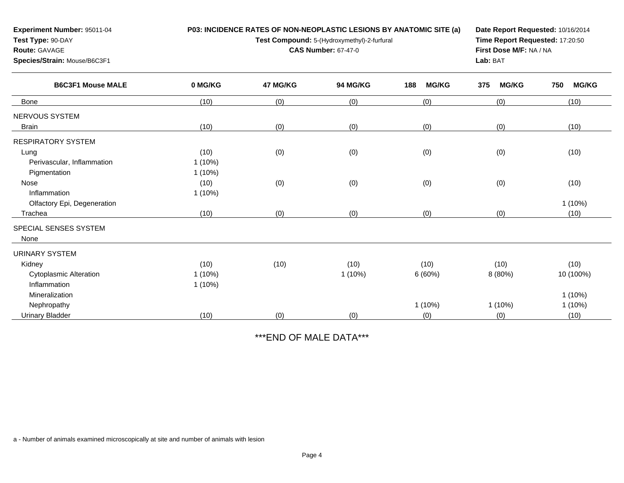| Experiment Number: 95011-04<br>Test Type: 90-DAY<br><b>Route: GAVAGE</b><br>Species/Strain: Mouse/B6C3F1 |                                | P03: INCIDENCE RATES OF NON-NEOPLASTIC LESIONS BY ANATOMIC SITE (a)<br>Test Compound: 5-(Hydroxymethyl)-2-furfural<br><b>CAS Number: 67-47-0</b> | Date Report Requested: 10/16/2014<br>Time Report Requested: 17:20:50<br>First Dose M/F: NA / NA<br>Lab: BAT |                     |                     |                        |
|----------------------------------------------------------------------------------------------------------|--------------------------------|--------------------------------------------------------------------------------------------------------------------------------------------------|-------------------------------------------------------------------------------------------------------------|---------------------|---------------------|------------------------|
| <b>B6C3F1 Mouse MALE</b>                                                                                 | 0 MG/KG                        | 47 MG/KG                                                                                                                                         | 94 MG/KG                                                                                                    | 188<br><b>MG/KG</b> | <b>MG/KG</b><br>375 | <b>MG/KG</b><br>750    |
| <b>Bone</b>                                                                                              | (10)                           | (0)                                                                                                                                              | (0)                                                                                                         | (0)                 | (0)                 | (10)                   |
| NERVOUS SYSTEM<br><b>Brain</b>                                                                           | (10)                           | (0)                                                                                                                                              | (0)                                                                                                         | (0)                 | (0)                 | (10)                   |
| <b>RESPIRATORY SYSTEM</b>                                                                                |                                |                                                                                                                                                  |                                                                                                             |                     |                     |                        |
| Lung<br>Perivascular, Inflammation<br>Pigmentation                                                       | (10)<br>$1(10\%)$<br>$1(10\%)$ | (0)                                                                                                                                              | (0)                                                                                                         | (0)                 | (0)                 | (10)                   |
| Nose<br>Inflammation                                                                                     | (10)<br>$1(10\%)$              | (0)                                                                                                                                              | (0)                                                                                                         | (0)                 | (0)                 | (10)                   |
| Olfactory Epi, Degeneration<br>Trachea                                                                   | (10)                           | (0)                                                                                                                                              | (0)                                                                                                         | (0)                 | (0)                 | $1(10\%)$<br>(10)      |
| SPECIAL SENSES SYSTEM<br>None                                                                            |                                |                                                                                                                                                  |                                                                                                             |                     |                     |                        |
| <b>URINARY SYSTEM</b>                                                                                    |                                |                                                                                                                                                  |                                                                                                             |                     |                     |                        |
| Kidney                                                                                                   | (10)                           | (10)                                                                                                                                             | (10)                                                                                                        | (10)                | (10)                | (10)                   |
| <b>Cytoplasmic Alteration</b><br>Inflammation                                                            | $1(10\%)$<br>$1(10\%)$         |                                                                                                                                                  | $1(10\%)$                                                                                                   | 6(60%)              | 8 (80%)             | 10 (100%)              |
| Mineralization<br>Nephropathy                                                                            |                                |                                                                                                                                                  |                                                                                                             | $1(10\%)$           | $1(10\%)$           | $1(10\%)$<br>$1(10\%)$ |
| <b>Urinary Bladder</b>                                                                                   | (10)                           | (0)                                                                                                                                              | (0)                                                                                                         | (0)                 | (0)                 | (10)                   |

\*\*\*END OF MALE DATA\*\*\*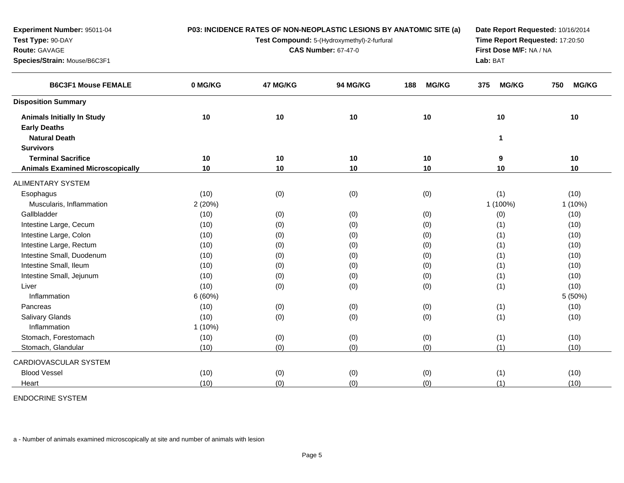| Experiment Number: 95011-04             |           | P03: INCIDENCE RATES OF NON-NEOPLASTIC LESIONS BY ANATOMIC SITE (a)                                                                     | Date Report Requested: 10/16/2014 |                     |                     |                     |
|-----------------------------------------|-----------|-----------------------------------------------------------------------------------------------------------------------------------------|-----------------------------------|---------------------|---------------------|---------------------|
| Test Type: 90-DAY                       |           | Time Report Requested: 17:20:50<br>Test Compound: 5-(Hydroxymethyl)-2-furfural<br><b>CAS Number: 67-47-0</b><br>First Dose M/F: NA / NA |                                   |                     |                     |                     |
| Route: GAVAGE                           |           |                                                                                                                                         |                                   |                     |                     |                     |
| Species/Strain: Mouse/B6C3F1            |           |                                                                                                                                         |                                   |                     | Lab: BAT            |                     |
| <b>B6C3F1 Mouse FEMALE</b>              | 0 MG/KG   | 47 MG/KG                                                                                                                                | 94 MG/KG                          | <b>MG/KG</b><br>188 | <b>MG/KG</b><br>375 | 750<br><b>MG/KG</b> |
| <b>Disposition Summary</b>              |           |                                                                                                                                         |                                   |                     |                     |                     |
| <b>Animals Initially In Study</b>       | 10        | 10                                                                                                                                      | 10                                | 10                  | 10                  | 10                  |
| <b>Early Deaths</b>                     |           |                                                                                                                                         |                                   |                     |                     |                     |
| <b>Natural Death</b>                    |           |                                                                                                                                         |                                   |                     | 1                   |                     |
| <b>Survivors</b>                        |           |                                                                                                                                         |                                   |                     |                     |                     |
| <b>Terminal Sacrifice</b>               | 10        | 10                                                                                                                                      | 10                                | 10                  | 9                   | 10                  |
| <b>Animals Examined Microscopically</b> | 10        | 10                                                                                                                                      | 10                                | 10                  | 10                  | 10                  |
| <b>ALIMENTARY SYSTEM</b>                |           |                                                                                                                                         |                                   |                     |                     |                     |
| Esophagus                               | (10)      | (0)                                                                                                                                     | (0)                               | (0)                 | (1)                 | (10)                |
| Muscularis, Inflammation                | 2(20%)    |                                                                                                                                         |                                   |                     | 1 (100%)            | $1(10\%)$           |
| Gallbladder                             | (10)      | (0)                                                                                                                                     | (0)                               | (0)                 | (0)                 | (10)                |
| Intestine Large, Cecum                  | (10)      | (0)                                                                                                                                     | (0)                               | (0)                 | (1)                 | (10)                |
| Intestine Large, Colon                  | (10)      | (0)                                                                                                                                     | (0)                               | (0)                 | (1)                 | (10)                |
| Intestine Large, Rectum                 | (10)      | (0)                                                                                                                                     | (0)                               | (0)                 | (1)                 | (10)                |
| Intestine Small, Duodenum               | (10)      | (0)                                                                                                                                     | (0)                               | (0)                 | (1)                 | (10)                |
| Intestine Small, Ileum                  | (10)      | (0)                                                                                                                                     | (0)                               | (0)                 | (1)                 | (10)                |
| Intestine Small, Jejunum                | (10)      | (0)                                                                                                                                     | (0)                               | (0)                 | (1)                 | (10)                |
| Liver                                   | (10)      | (0)                                                                                                                                     | (0)                               | (0)                 | (1)                 | (10)                |
| Inflammation                            | 6(60%)    |                                                                                                                                         |                                   |                     |                     | 5 (50%)             |
| Pancreas                                | (10)      | (0)                                                                                                                                     | (0)                               | (0)                 | (1)                 | (10)                |
| Salivary Glands                         | (10)      | (0)                                                                                                                                     | (0)                               | (0)                 | (1)                 | (10)                |
| Inflammation                            | $1(10\%)$ |                                                                                                                                         |                                   |                     |                     |                     |
| Stomach, Forestomach                    | (10)      | (0)                                                                                                                                     | (0)                               | (0)                 | (1)                 | (10)                |
| Stomach, Glandular                      | (10)      | (0)                                                                                                                                     | (0)                               | (0)                 | (1)                 | (10)                |
| CARDIOVASCULAR SYSTEM                   |           |                                                                                                                                         |                                   |                     |                     |                     |
| <b>Blood Vessel</b>                     | (10)      | (0)                                                                                                                                     | (0)                               | (0)                 | (1)                 | (10)                |
| Heart                                   | (10)      | (0)                                                                                                                                     | (0)                               | (0)                 | (1)                 | (10)                |

ENDOCRINE SYSTEM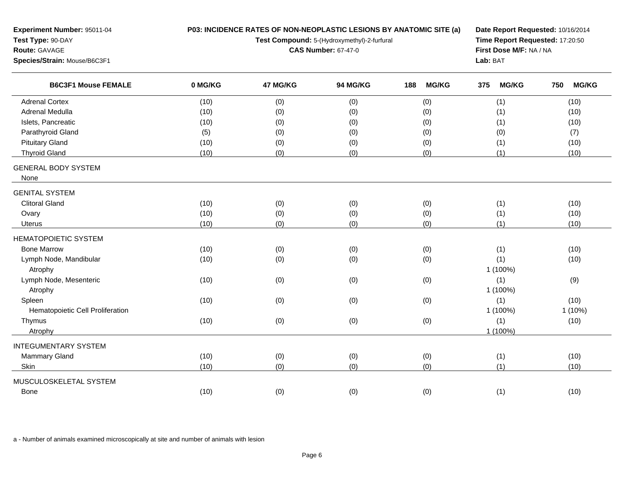| Experiment Number: 95011-04<br>Test Type: 90-DAY<br>Route: GAVAGE<br>Species/Strain: Mouse/B6C3F1 |         | P03: INCIDENCE RATES OF NON-NEOPLASTIC LESIONS BY ANATOMIC SITE (a)<br>Test Compound: 5-(Hydroxymethyl)-2-furfural<br><b>CAS Number: 67-47-0</b> | Date Report Requested: 10/16/2014<br>Time Report Requested: 17:20:50<br>First Dose M/F: NA / NA<br>Lab: BAT |                     |                     |                     |
|---------------------------------------------------------------------------------------------------|---------|--------------------------------------------------------------------------------------------------------------------------------------------------|-------------------------------------------------------------------------------------------------------------|---------------------|---------------------|---------------------|
| <b>B6C3F1 Mouse FEMALE</b>                                                                        | 0 MG/KG | 47 MG/KG                                                                                                                                         | 94 MG/KG                                                                                                    | <b>MG/KG</b><br>188 | <b>MG/KG</b><br>375 | <b>MG/KG</b><br>750 |
| <b>Adrenal Cortex</b>                                                                             | (10)    | (0)                                                                                                                                              | (0)                                                                                                         | (0)                 | (1)                 | (10)                |
| Adrenal Medulla                                                                                   | (10)    | (0)                                                                                                                                              | (0)                                                                                                         | (0)                 | (1)                 | (10)                |
| Islets, Pancreatic                                                                                | (10)    | (0)                                                                                                                                              | (0)                                                                                                         | (0)                 | (1)                 | (10)                |
| Parathyroid Gland                                                                                 | (5)     | (0)                                                                                                                                              | (0)                                                                                                         | (0)                 | (0)                 | (7)                 |
| <b>Pituitary Gland</b>                                                                            | (10)    | (0)                                                                                                                                              | (0)                                                                                                         | (0)                 | (1)                 | (10)                |
| <b>Thyroid Gland</b>                                                                              | (10)    | (0)                                                                                                                                              | (0)                                                                                                         | (0)                 | (1)                 | (10)                |
| <b>GENERAL BODY SYSTEM</b><br>None                                                                |         |                                                                                                                                                  |                                                                                                             |                     |                     |                     |
| <b>GENITAL SYSTEM</b>                                                                             |         |                                                                                                                                                  |                                                                                                             |                     |                     |                     |
| <b>Clitoral Gland</b>                                                                             | (10)    | (0)                                                                                                                                              | (0)                                                                                                         | (0)                 | (1)                 | (10)                |
| Ovary                                                                                             | (10)    | (0)                                                                                                                                              | (0)                                                                                                         | (0)                 | (1)                 | (10)                |
| Uterus                                                                                            | (10)    | (0)                                                                                                                                              | (0)                                                                                                         | (0)                 | (1)                 | (10)                |
| <b>HEMATOPOIETIC SYSTEM</b>                                                                       |         |                                                                                                                                                  |                                                                                                             |                     |                     |                     |
| <b>Bone Marrow</b>                                                                                | (10)    | (0)                                                                                                                                              | (0)                                                                                                         | (0)                 | (1)                 | (10)                |
| Lymph Node, Mandibular                                                                            | (10)    | (0)                                                                                                                                              | (0)                                                                                                         | (0)                 | (1)                 | (10)                |
| Atrophy                                                                                           |         |                                                                                                                                                  |                                                                                                             |                     | 1 (100%)            |                     |
| Lymph Node, Mesenteric                                                                            | (10)    | (0)                                                                                                                                              | (0)                                                                                                         | (0)                 | (1)                 | (9)                 |
| Atrophy                                                                                           |         |                                                                                                                                                  |                                                                                                             |                     | 1 (100%)            |                     |
| Spleen                                                                                            | (10)    | (0)                                                                                                                                              | (0)                                                                                                         | (0)                 | (1)                 | (10)                |
| Hematopoietic Cell Proliferation                                                                  |         |                                                                                                                                                  |                                                                                                             |                     | 1 (100%)            | $1(10\%)$           |
| Thymus                                                                                            | (10)    | (0)                                                                                                                                              | (0)                                                                                                         | (0)                 | (1)                 | (10)                |
| Atrophy                                                                                           |         |                                                                                                                                                  |                                                                                                             |                     | 1 (100%)            |                     |
| <b>INTEGUMENTARY SYSTEM</b>                                                                       |         |                                                                                                                                                  |                                                                                                             |                     |                     |                     |
| <b>Mammary Gland</b>                                                                              | (10)    | (0)                                                                                                                                              | (0)                                                                                                         | (0)                 | (1)                 | (10)                |
| Skin                                                                                              | (10)    | (0)                                                                                                                                              | (0)                                                                                                         | (0)                 | (1)                 | (10)                |
| MUSCULOSKELETAL SYSTEM                                                                            |         |                                                                                                                                                  |                                                                                                             |                     |                     |                     |
| <b>Bone</b>                                                                                       | (10)    | (0)                                                                                                                                              | (0)                                                                                                         | (0)                 | (1)                 | (10)                |
|                                                                                                   |         |                                                                                                                                                  |                                                                                                             |                     |                     |                     |